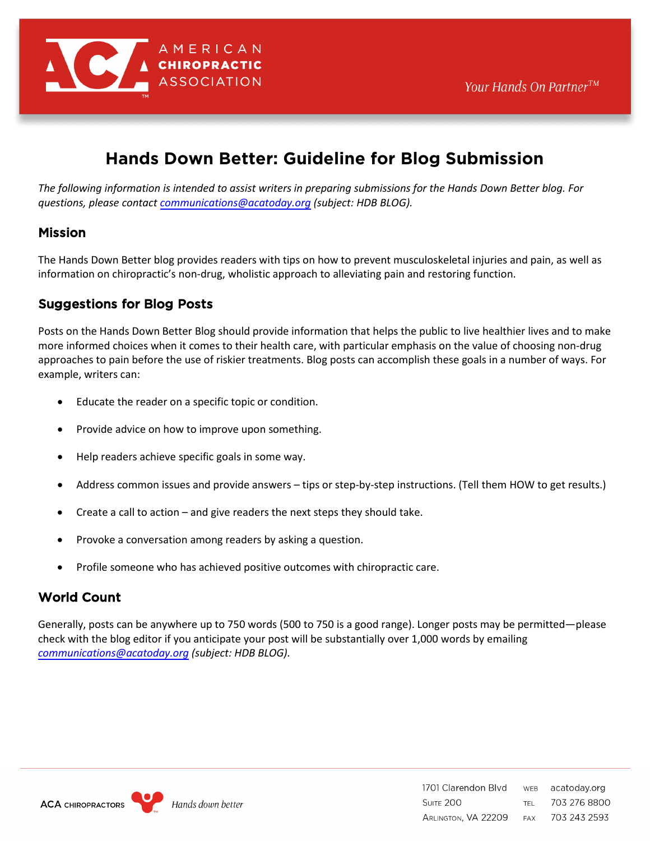

# **Hands Down Better: Guideline for Blog Submission**

*The following information is intended to assist writers in preparing submissions for the Hands Down Better blog. For questions, please contact [communications@acatoday.org](mailto:communications@acatoday.org) (subject: HDB BLOG).* 

# Mission

The Hands Down Better blog provides readers with tips on how to prevent musculoskeletal injuries and pain, as well as information on chiropractic's non-drug, wholistic approach to alleviating pain and restoring function.

### Suggestions for Blog Posts

Posts on the Hands Down Better Blog should provide information that helps the public to live healthier lives and to make more informed choices when it comes to their health care, with particular emphasis on the value of choosing non-drug approaches to pain before the use of riskier treatments. Blog posts can accomplish these goals in a number of ways. For example, writers can:

- Educate the reader on a specific topic or condition.
- Provide advice on how to improve upon something.
- Help readers achieve specific goals in some way.
- Address common issues and provide answers tips or step-by-step instructions. (Tell them HOW to get results.)
- Create a call to action and give readers the next steps they should take.
- Provoke a conversation among readers by asking a question.
- Profile someone who has achieved positive outcomes with chiropractic care.

# World Count

Generally, posts can be anywhere up to 750 words (500 to 750 is a good range). Longer posts may be permitted—please check with the blog editor if you anticipate your post will be substantially over 1,000 words by emailing *commu[nications@acatoday.org](mailto:communications@acatoday.org) (subject: HDB BLOG)*.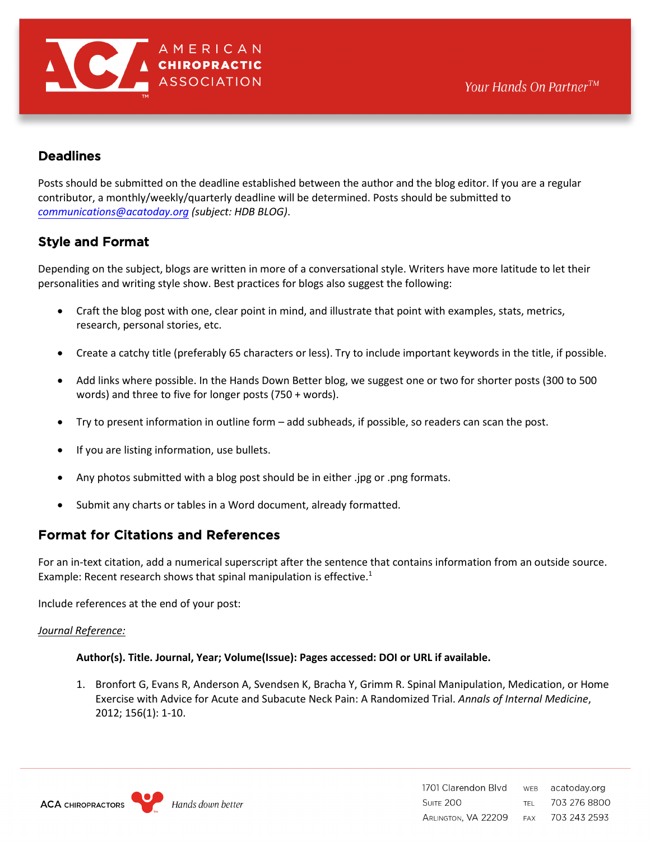

# **Deadlines**

Posts should be submitted on the deadline established between the author and the blog editor. If you are a regular contributor, a monthly/weekly/quarterly deadline will be determined. Posts should be submitted to *c[ommunications@acatoday.org](mailto:communications@acatoday.org) (subject: HDB BLOG)*.

# Style and Format

Depending on the subject, blogs are written in more of a conversational style. Writers have more latitude to let their personalities and writing style show. Best practices for blogs also suggest the following:

- Craft the blog post with one, clear point in mind, and illustrate that point with examples, stats, metrics, research, personal stories, etc.
- Create a catchy title (preferably 65 characters or less). Try to include important keywords in the title, if possible.
- Add links where possible. In the Hands Down Better blog, we suggest one or two for shorter posts (300 to 500 words) and three to five for longer posts (750 + words).
- Try to present information in outline form add subheads, if possible, so readers can scan the post.
- If you are listing information, use bullets.
- Any photos submitted with a blog post should be in either .jpg or .png formats.
- Submit any charts or tables in a Word document, already formatted.

# Format for Citations and References

For an in-text citation, add a numerical superscript after the sentence that contains information from an outside source. Example: Recent research shows that spinal manipulation is effective.<sup>1</sup>

Include references at the end of your post:

#### *Journal Reference:*

#### **Author(s). Title. Journal, Year; Volume(Issue): Pages accessed: DOI or URL if available.**

1. Bronfort G, Evans R, Anderson A, Svendsen K, Bracha Y, Grimm R. Spinal Manipulation, Medication, or Home Exercise with Advice for Acute and Subacute Neck Pain: A Randomized Trial. *Annals of Internal Medicine*, 2012; 156(1): 1-10.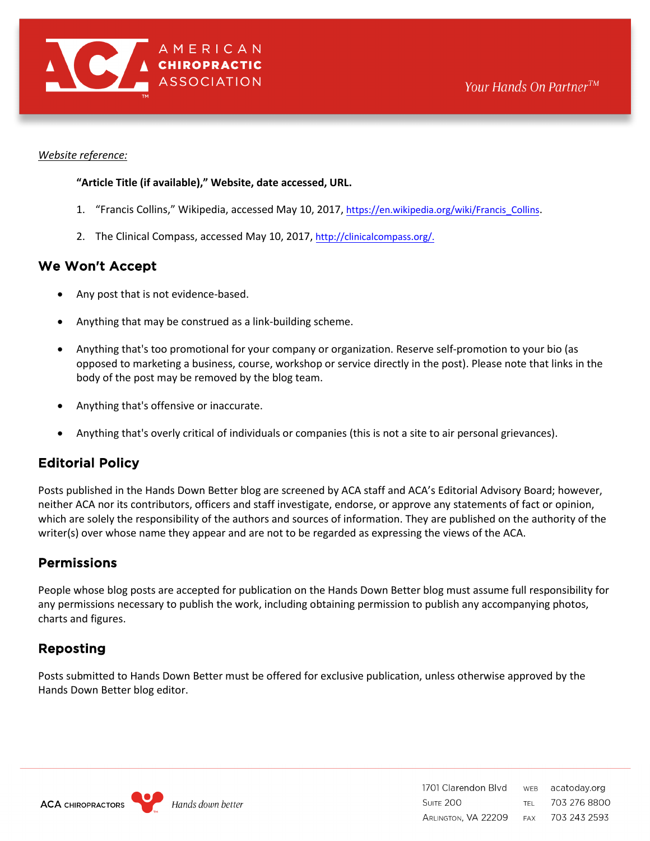

#### *Website reference:*

#### **"Article Title (if available)," Website, date accessed, URL.**

- 1. "Francis Collins," Wikipedia, accessed May 10, 2017, [https://en.wikipedia.org/wiki/Francis\\_Collins](https://en.wikipedia.org/wiki/Francis_Collins).
- 2. The Clinical Compass, accessed May 10, 2017, <http://clinicalcompass.org/>.

### We Won't Accept

- Any post that is not evidence-based.
- Anything that may be construed as a link-building scheme.
- Anything that's too promotional for your company or organization. Reserve self-promotion to your bio (as opposed to marketing a business, course, workshop or service directly in the post). Please note that links in the body of the post may be removed by the blog team.
- Anything that's offensive or inaccurate.
- Anything that's overly critical of individuals or companies (this is not a site to air personal grievances).

# Editorial Policy

Posts published in the Hands Down Better blog are screened by ACA staff and ACA's Editorial Advisory Board; however, neither ACA nor its contributors, officers and staff investigate, endorse, or approve any statements of fact or opinion, which are solely the responsibility of the authors and sources of information. They are published on the authority of the writer(s) over whose name they appear and are not to be regarded as expressing the views of the ACA.

# Permissions

People whose blog posts are accepted for publication on the Hands Down Better blog must assume full responsibility for any permissions necessary to publish the work, including obtaining permission to publish any accompanying photos, charts and figures.

# Reposting

Posts submitted to Hands Down Better must be offered for exclusive publication, unless otherwise approved by the Hands Down Better blog editor.